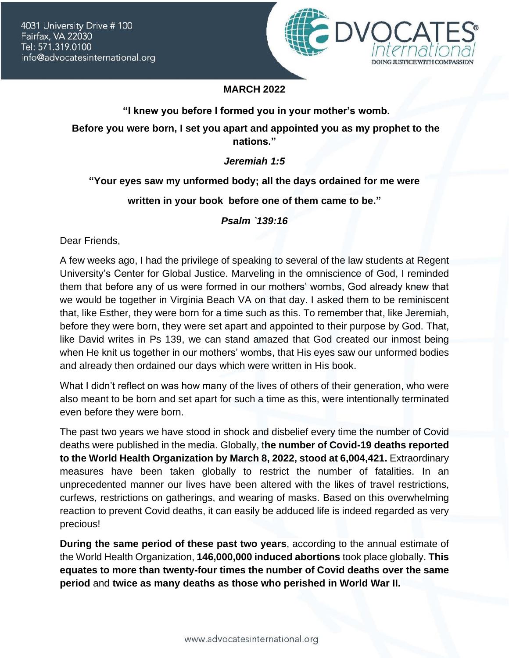4031 University Drive # 100 Fairfax, VA 22030 Tel: 571.319.0100 info@advocatesinternational.org



# **MARCH 2022**

#### **"I knew you before I formed you in your mother's womb.**

**Before you were born, I set you apart and appointed you as my prophet to the nations."**

### *Jeremiah 1:5*

# **"Your eyes saw my unformed body; all the days ordained for me were**

# **written in your book before one of them came to be."**

*Psalm `139:16*

Dear Friends,

A few weeks ago, I had the privilege of speaking to several of the law students at Regent University's Center for Global Justice. Marveling in the omniscience of God, I reminded them that before any of us were formed in our mothers' wombs, God already knew that we would be together in Virginia Beach VA on that day. I asked them to be reminiscent that, like Esther, they were born for a time such as this. To remember that, like Jeremiah, before they were born, they were set apart and appointed to their purpose by God. That, like David writes in Ps 139, we can stand amazed that God created our inmost being when He knit us together in our mothers' wombs, that His eyes saw our unformed bodies and already then ordained our days which were written in His book.

What I didn't reflect on was how many of the lives of others of their generation, who were also meant to be born and set apart for such a time as this, were intentionally terminated even before they were born.

The past two years we have stood in shock and disbelief every time the number of Covid deaths were published in the media. Globally, t**he number of Covid-19 deaths reported to the World Health Organization by March 8, 2022, stood at 6,004,421.** Extraordinary measures have been taken globally to restrict the number of fatalities. In an unprecedented manner our lives have been altered with the likes of travel restrictions, curfews, restrictions on gatherings, and wearing of masks. Based on this overwhelming reaction to prevent Covid deaths, it can easily be adduced life is indeed regarded as very precious!

**During the same period of these past two years**, according to the annual estimate of the World Health Organization, **146,000,000 induced abortions** took place globally. **This equates to more than twenty-four times the number of Covid deaths over the same period** and **twice as many deaths as those who perished in World War II.**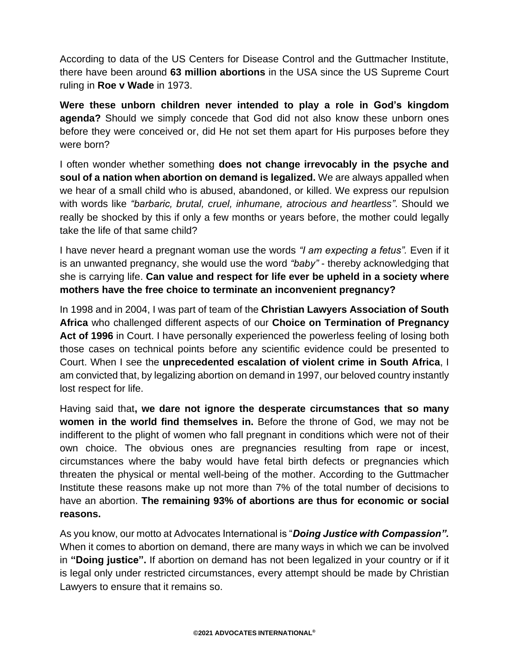According to data of the US Centers for Disease Control and the Guttmacher Institute, there have been around **63 million abortions** in the USA since the US Supreme Court ruling in **Roe v Wade** in 1973.

**Were these unborn children never intended to play a role in God's kingdom agenda?** Should we simply concede that God did not also know these unborn ones before they were conceived or, did He not set them apart for His purposes before they were born?

I often wonder whether something **does not change irrevocably in the psyche and soul of a nation when abortion on demand is legalized.** We are always appalled when we hear of a small child who is abused, abandoned, or killed. We express our repulsion with words like *"barbaric, brutal, cruel, inhumane, atrocious and heartless"*. Should we really be shocked by this if only a few months or years before, the mother could legally take the life of that same child?

I have never heard a pregnant woman use the words *"I am expecting a fetus".* Even if it is an unwanted pregnancy, she would use the word *"baby"* - thereby acknowledging that she is carrying life. **Can value and respect for life ever be upheld in a society where mothers have the free choice to terminate an inconvenient pregnancy?**

In 1998 and in 2004, I was part of team of the **Christian Lawyers Association of South Africa** who challenged different aspects of our **Choice on Termination of Pregnancy Act of 1996** in Court. I have personally experienced the powerless feeling of losing both those cases on technical points before any scientific evidence could be presented to Court. When I see the **unprecedented escalation of violent crime in South Africa**, I am convicted that, by legalizing abortion on demand in 1997, our beloved country instantly lost respect for life.

Having said that**, we dare not ignore the desperate circumstances that so many women in the world find themselves in.** Before the throne of God, we may not be indifferent to the plight of women who fall pregnant in conditions which were not of their own choice. The obvious ones are pregnancies resulting from rape or incest, circumstances where the baby would have fetal birth defects or pregnancies which threaten the physical or mental well-being of the mother. According to the Guttmacher Institute these reasons make up not more than 7% of the total number of decisions to have an abortion. **The remaining 93% of abortions are thus for economic or social reasons.**

As you know, our motto at Advocates International is "*Doing Justice with Compassion".*  When it comes to abortion on demand, there are many ways in which we can be involved in **"Doing justice".** If abortion on demand has not been legalized in your country or if it is legal only under restricted circumstances, every attempt should be made by Christian Lawyers to ensure that it remains so.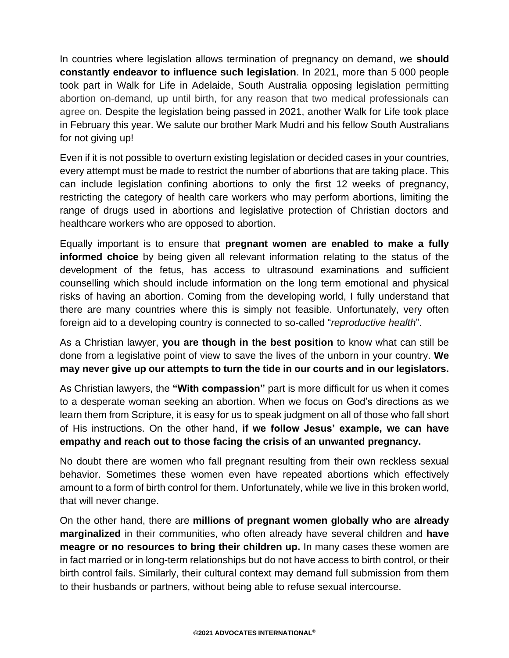In countries where legislation allows termination of pregnancy on demand, we **should constantly endeavor to influence such legislation**. In 2021, more than 5 000 people took part in Walk for Life in Adelaide, South Australia opposing legislation permitting abortion on-demand, up until birth, for any reason that two medical professionals can agree on. Despite the legislation being passed in 2021, another Walk for Life took place in February this year. We salute our brother Mark Mudri and his fellow South Australians for not giving up!

Even if it is not possible to overturn existing legislation or decided cases in your countries, every attempt must be made to restrict the number of abortions that are taking place. This can include legislation confining abortions to only the first 12 weeks of pregnancy, restricting the category of health care workers who may perform abortions, limiting the range of drugs used in abortions and legislative protection of Christian doctors and healthcare workers who are opposed to abortion.

Equally important is to ensure that **pregnant women are enabled to make a fully informed choice** by being given all relevant information relating to the status of the development of the fetus, has access to ultrasound examinations and sufficient counselling which should include information on the long term emotional and physical risks of having an abortion. Coming from the developing world, I fully understand that there are many countries where this is simply not feasible. Unfortunately, very often foreign aid to a developing country is connected to so-called "*reproductive health*".

As a Christian lawyer, **you are though in the best position** to know what can still be done from a legislative point of view to save the lives of the unborn in your country. **We may never give up our attempts to turn the tide in our courts and in our legislators.** 

As Christian lawyers, the **"With compassion"** part is more difficult for us when it comes to a desperate woman seeking an abortion. When we focus on God's directions as we learn them from Scripture, it is easy for us to speak judgment on all of those who fall short of His instructions. On the other hand, **if we follow Jesus' example, we can have empathy and reach out to those facing the crisis of an unwanted pregnancy.**

No doubt there are women who fall pregnant resulting from their own reckless sexual behavior. Sometimes these women even have repeated abortions which effectively amount to a form of birth control for them. Unfortunately, while we live in this broken world, that will never change.

On the other hand, there are **millions of pregnant women globally who are already marginalized** in their communities, who often already have several children and **have meagre or no resources to bring their children up.** In many cases these women are in fact married or in long-term relationships but do not have access to birth control, or their birth control fails. Similarly, their cultural context may demand full submission from them to their husbands or partners, without being able to refuse sexual intercourse.